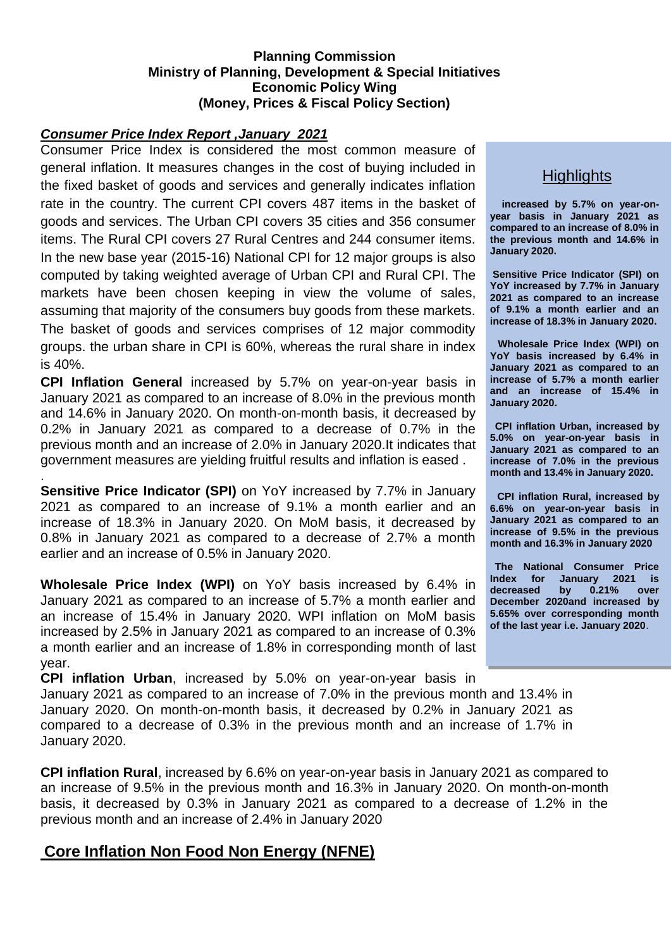#### **Planning Commission Ministry of Planning, Development & Special Initiatives Economic Policy Wing (Money, Prices & Fiscal Policy Section)**

#### *Consumer Price Index Report ,January 2021*

.

Consumer Price Index is considered the most common measure of general inflation. It measures changes in the cost of buying included in the fixed basket of goods and services and generally indicates inflation rate in the country. The current CPI covers 487 items in the basket of goods and services. The Urban CPI covers 35 cities and 356 consumer items. The Rural CPI covers 27 Rural Centres and 244 consumer items. In the new base year (2015-16) National CPI for 12 major groups is also computed by taking weighted average of Urban CPI and Rural CPI. The markets have been chosen keeping in view the volume of sales, assuming that majority of the consumers buy goods from these markets. The basket of goods and services comprises of 12 major commodity groups. the urban share in CPI is 60%, whereas the rural share in index is 40%.

**CPI Inflation General** increased by 5.7% on year-on-year basis in January 2021 as compared to an increase of 8.0% in the previous month and 14.6% in January 2020. On month-on-month basis, it decreased by 0.2% in January 2021 as compared to a decrease of 0.7% in the previous month and an increase of 2.0% in January 2020.It indicates that government measures are yielding fruitful results and inflation is eased .

**Sensitive Price Indicator (SPI)** on YoY increased by 7.7% in January 2021 as compared to an increase of 9.1% a month earlier and an increase of 18.3% in January 2020. On MoM basis, it decreased by 0.8% in January 2021 as compared to a decrease of 2.7% a month earlier and an increase of 0.5% in January 2020.

**Wholesale Price Index (WPI)** on YoY basis increased by 6.4% in January 2021 as compared to an increase of 5.7% a month earlier and an increase of 15.4% in January 2020. WPI inflation on MoM basis increased by 2.5% in January 2021 as compared to an increase of 0.3% a month earlier and an increase of 1.8% in corresponding month of last year.

**CPI inflation Urban**, increased by 5.0% on year-on-year basis in January 2021 as compared to an increase of 7.0% in the previous month and 13.4% in January 2020. On month-on-month basis, it decreased by 0.2% in January 2021 as compared to a decrease of 0.3% in the previous month and an increase of 1.7% in January 2020.

**CPI inflation Rural**, increased by 6.6% on year-on-year basis in January 2021 as compared to an increase of 9.5% in the previous month and 16.3% in January 2020. On month-on-month basis, it decreased by 0.3% in January 2021 as compared to a decrease of 1.2% in the previous month and an increase of 2.4% in January 2020

# **Core Inflation Non Food Non Energy (NFNE)**

# **Highlights**

**increased by 5.7% on year-onyear basis in January 2021 as compared to an increase of 8.0% in the previous month and 14.6% in January 2020.**

**Sensitive Price Indicator (SPI) on YoY increased by 7.7% in January 2021 as compared to an increase of 9.1% a month earlier and an increase of 18.3% in January 2020.**

**Wholesale Price Index (WPI) on YoY basis increased by 6.4% in January 2021 as compared to an increase of 5.7% a month earlier and an increase of 15.4% in January 2020.**

**CPI inflation Urban, increased by 5.0% on year-on-year basis in January 2021 as compared to an increase of 7.0% in the previous month and 13.4% in January 2020.**

**CPI inflation Rural, increased by 6.6% on year-on-year basis in January 2021 as compared to an increase of 9.5% in the previous month and 16.3% in January 2020**

**The National Consumer Price Index for January 2021 is decreased by 0.21% over December 2020and increased by 5.65% over corresponding month of the last year i.e. January 2020**.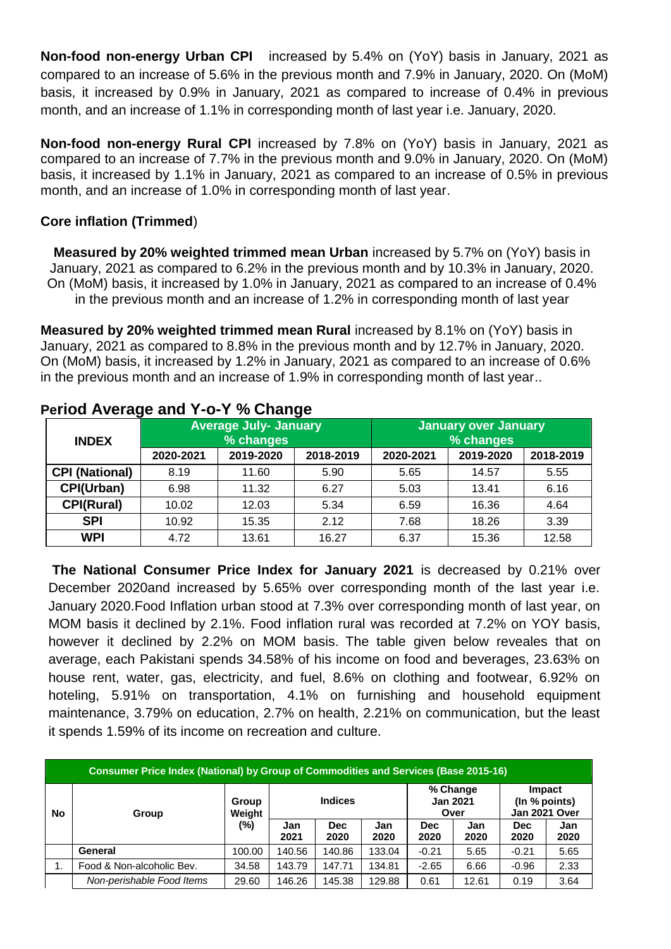**Non-food non-energy Urban CPI** increased by 5.4% on (YoY) basis in January, 2021 as compared to an increase of 5.6% in the previous month and 7.9% in January, 2020. On (MoM) basis, it increased by 0.9% in January, 2021 as compared to increase of 0.4% in previous month, and an increase of 1.1% in corresponding month of last year i.e. January, 2020.

**Non-food non-energy Rural CPI** increased by 7.8% on (YoY) basis in January, 2021 as compared to an increase of 7.7% in the previous month and 9.0% in January, 2020. On (MoM) basis, it increased by 1.1% in January, 2021 as compared to an increase of 0.5% in previous month, and an increase of 1.0% in corresponding month of last year.

## **Core inflation (Trimmed**)

**Measured by 20% weighted trimmed mean Urban** increased by 5.7% on (YoY) basis in January, 2021 as compared to 6.2% in the previous month and by 10.3% in January, 2020. On (MoM) basis, it increased by 1.0% in January, 2021 as compared to an increase of 0.4% in the previous month and an increase of 1.2% in corresponding month of last year

**Measured by 20% weighted trimmed mean Rural** increased by 8.1% on (YoY) basis in January, 2021 as compared to 8.8% in the previous month and by 12.7% in January, 2020. On (MoM) basis, it increased by 1.2% in January, 2021 as compared to an increase of 0.6% in the previous month and an increase of 1.9% in corresponding month of last year..

| <b>INDEX</b>          |           | <b>Average July- January</b><br>% changes |           | <b>January over January</b><br>% changes |           |           |  |  |  |
|-----------------------|-----------|-------------------------------------------|-----------|------------------------------------------|-----------|-----------|--|--|--|
|                       | 2020-2021 | 2019-2020                                 | 2018-2019 | 2020-2021                                | 2019-2020 | 2018-2019 |  |  |  |
| <b>CPI (National)</b> | 8.19      | 11.60                                     | 5.90      | 5.65                                     | 14.57     | 5.55      |  |  |  |
| CPI(Urban)            | 6.98      | 11.32                                     | 6.27      | 5.03                                     | 13.41     | 6.16      |  |  |  |
| <b>CPI(Rural)</b>     | 10.02     | 12.03                                     | 5.34      | 6.59                                     | 16.36     | 4.64      |  |  |  |
| <b>SPI</b>            | 10.92     | 15.35                                     | 2.12      | 7.68                                     | 18.26     | 3.39      |  |  |  |
| <b>WPI</b>            | 4.72      | 13.61                                     | 16.27     | 6.37                                     | 15.36     | 12.58     |  |  |  |

# **Period Average and Y-o-Y % Change**

**The National Consumer Price Index for January 2021** is decreased by 0.21% over December 2020and increased by 5.65% over corresponding month of the last year i.e. January 2020.Food Inflation urban stood at 7.3% over corresponding month of last year, on MOM basis it declined by 2.1%. Food inflation rural was recorded at 7.2% on YOY basis, however it declined by 2.2% on MOM basis. The table given below reveales that on average, each Pakistani spends 34.58% of his income on food and beverages, 23.63% on house rent, water, gas, electricity, and fuel, 8.6% on clothing and footwear, 6.92% on hoteling, 5.91% on transportation, 4.1% on furnishing and household equipment maintenance, 3.79% on education, 2.7% on health, 2.21% on communication, but the least it spends 1.59% of its income on recreation and culture.

| <b>Consumer Price Index (National) by Group of Commodities and Services (Base 2015-16)</b> |                           |                 |             |                    |             |                                     |             |                                          |             |  |  |
|--------------------------------------------------------------------------------------------|---------------------------|-----------------|-------------|--------------------|-------------|-------------------------------------|-------------|------------------------------------------|-------------|--|--|
| <b>No</b>                                                                                  | Group                     | Group<br>Weight |             | <b>Indices</b>     |             | % Change<br><b>Jan 2021</b><br>Over |             | Impact<br>(In % points)<br>Jan 2021 Over |             |  |  |
|                                                                                            |                           | (%)             | Jan<br>2021 | <b>Dec</b><br>2020 | Jan<br>2020 | <b>Dec</b><br>2020                  | Jan<br>2020 | <b>Dec</b><br>2020                       | Jan<br>2020 |  |  |
|                                                                                            | General                   | 100.00          | 140.56      | 140.86             | 133.04      | $-0.21$                             | 5.65        | $-0.21$                                  | 5.65        |  |  |
|                                                                                            | Food & Non-alcoholic Bev. | 34.58           | 143.79      | 147.71             | 134.81      | $-2.65$                             | 6.66        | $-0.96$                                  | 2.33        |  |  |
|                                                                                            | Non-perishable Food Items | 29.60           | 146.26      | 145.38             | 129.88      | 0.61                                | 12.61       | 0.19                                     | 3.64        |  |  |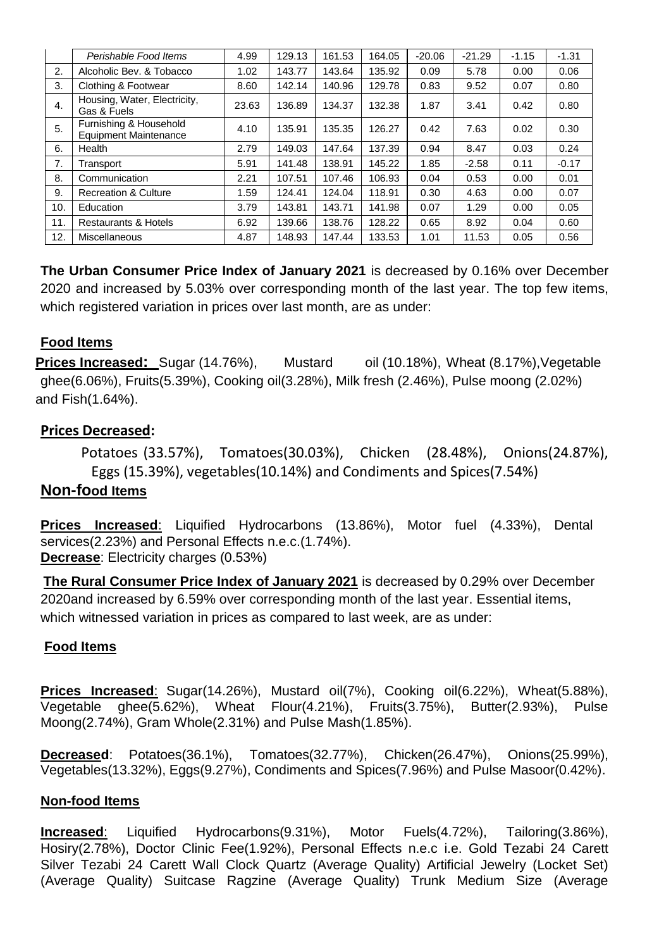|     | Perishable Food Items                                  | 4.99  | 129.13 | 161.53 | 164.05 | $-20.06$ | $-21.29$ | $-1.15$ | $-1.31$ |
|-----|--------------------------------------------------------|-------|--------|--------|--------|----------|----------|---------|---------|
| 2.  | Alcoholic Bev. & Tobacco                               | 1.02  | 143.77 | 143.64 | 135.92 | 0.09     | 5.78     | 0.00    | 0.06    |
| 3.  | Clothing & Footwear                                    | 8.60  | 142.14 | 140.96 | 129.78 | 0.83     | 9.52     | 0.07    | 0.80    |
| 4.  | Housing, Water, Electricity,<br>Gas & Fuels            | 23.63 | 136.89 | 134.37 | 132.38 | 1.87     | 3.41     | 0.42    | 0.80    |
| 5.  | Furnishing & Household<br><b>Equipment Maintenance</b> | 4.10  | 135.91 | 135.35 | 126.27 | 0.42     | 7.63     | 0.02    | 0.30    |
| 6.  | Health                                                 | 2.79  | 149.03 | 147.64 | 137.39 | 0.94     | 8.47     | 0.03    | 0.24    |
| 7.  | Transport                                              | 5.91  | 141.48 | 138.91 | 145.22 | 1.85     | $-2.58$  | 0.11    | $-0.17$ |
| 8.  | Communication                                          | 2.21  | 107.51 | 107.46 | 106.93 | 0.04     | 0.53     | 0.00    | 0.01    |
| 9.  | <b>Recreation &amp; Culture</b>                        | 1.59  | 124.41 | 124.04 | 118.91 | 0.30     | 4.63     | 0.00    | 0.07    |
| 10. | Education                                              | 3.79  | 143.81 | 143.71 | 141.98 | 0.07     | 1.29     | 0.00    | 0.05    |
| 11. | <b>Restaurants &amp; Hotels</b>                        | 6.92  | 139.66 | 138.76 | 128.22 | 0.65     | 8.92     | 0.04    | 0.60    |
| 12. | Miscellaneous                                          | 4.87  | 148.93 | 147.44 | 133.53 | 1.01     | 11.53    | 0.05    | 0.56    |

**The Urban Consumer Price Index of January 2021** is decreased by 0.16% over December 2020 and increased by 5.03% over corresponding month of the last year. The top few items, which registered variation in prices over last month, are as under:

## **Food Items**

**Prices Increased:** Sugar (14.76%), Mustard oil (10.18%), Wheat (8.17%), Vegetable ghee(6.06%), Fruits(5.39%), Cooking oil(3.28%), Milk fresh (2.46%), Pulse moong (2.02%) and Fish(1.64%).

## **Prices Decreased:**

Potatoes (33.57%), Tomatoes(30.03%), Chicken (28.48%), Onions(24.87%), Eggs (15.39%), vegetables(10.14%) and Condiments and Spices(7.54%)

## **Non-food Items**

**Prices Increased**: Liquified Hydrocarbons (13.86%), Motor fuel (4.33%), Dental services(2.23%) and Personal Effects n.e.c.(1.74%). **Decrease**: Electricity charges (0.53%)

**The Rural Consumer Price Index of January 2021** is decreased by 0.29% over December 2020and increased by 6.59% over corresponding month of the last year. Essential items, which witnessed variation in prices as compared to last week, are as under:

## **Food Items**

**Prices Increased**: Sugar(14.26%), Mustard oil(7%), Cooking oil(6.22%), Wheat(5.88%), Vegetable ghee(5.62%), Wheat Flour(4.21%), Fruits(3.75%), Butter(2.93%), Pulse Moong(2.74%), Gram Whole(2.31%) and Pulse Mash(1.85%).

**Decreased**: Potatoes(36.1%), Tomatoes(32.77%), Chicken(26.47%), Onions(25.99%), Vegetables(13.32%), Eggs(9.27%), Condiments and Spices(7.96%) and Pulse Masoor(0.42%).

## **Non-food Items**

**Increased**: Liquified Hydrocarbons(9.31%), Motor Fuels(4.72%), Tailoring(3.86%), Hosiry(2.78%), Doctor Clinic Fee(1.92%), Personal Effects n.e.c i.e. Gold Tezabi 24 Carett Silver Tezabi 24 Carett Wall Clock Quartz (Average Quality) Artificial Jewelry (Locket Set) (Average Quality) Suitcase Ragzine (Average Quality) Trunk Medium Size (Average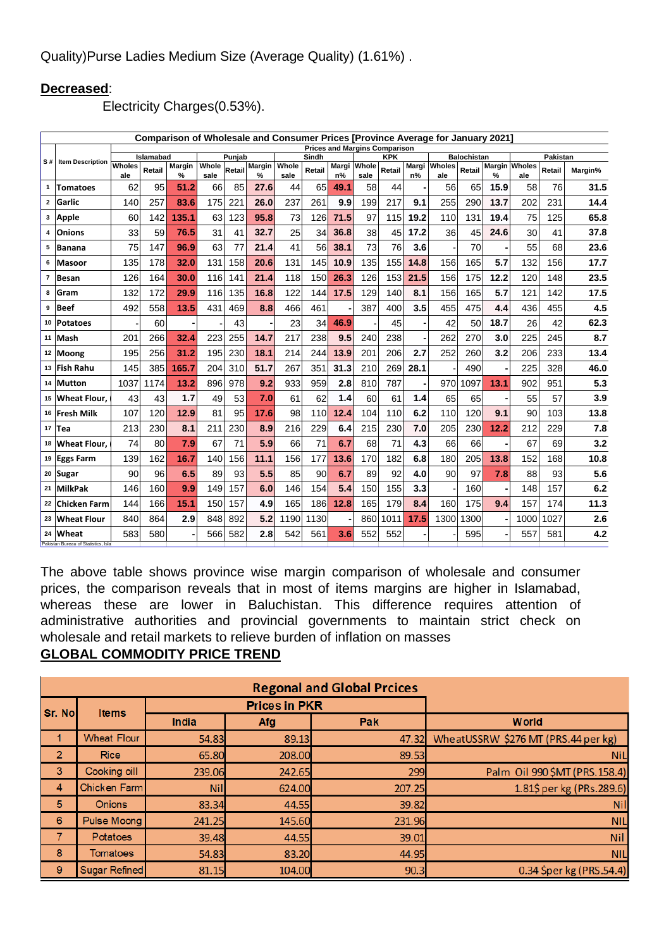## **Decreased**:

Electricity Charges(0.53%).

| Comparison of Wholesale and Consumer Prices [Province Average for January 2021]<br><b>Prices and Margins Comparison</b> |                                                     |               |           |                    |               |        |                    |               |        |                |               |            |             |               |                    |      |                             |          |         |
|-------------------------------------------------------------------------------------------------------------------------|-----------------------------------------------------|---------------|-----------|--------------------|---------------|--------|--------------------|---------------|--------|----------------|---------------|------------|-------------|---------------|--------------------|------|-----------------------------|----------|---------|
|                                                                                                                         |                                                     |               | Islamabad |                    |               | Punjab |                    |               | Sindh  |                |               | <b>KPK</b> |             |               | <b>Balochistan</b> |      |                             | Pakistan |         |
|                                                                                                                         | S# Item Description                                 | Wholes<br>ale | Retail    | <b>Margin</b><br>% | Whole<br>sale |        | Retail Margin<br>% | Whole<br>sale | Retail | Margi<br>$n\%$ | Whole<br>sale | Retail     | Margi<br>n% | Wholes<br>ale | Retail             | %    | <b>Margin</b> Wholes<br>ale | Retail   | Margin% |
| 1                                                                                                                       | <b>Tomatoes</b>                                     | 62            | 95        | 51.2               | 66            | 85     | 27.6               | 44            | 65     | 49.1           | 58            | 44         |             | 56            | 65                 | 15.9 | 58                          | 76       | 31.5    |
| $\mathbf{2}$                                                                                                            | Garlic                                              | 140           | 257       | 83.6               | 175           | 221    | 26.0               | 237           | 261    | 9.9            | 199           | 217        | 9.1         | 255           | 290                | 13.7 | 202                         | 231      | 14.4    |
| 3                                                                                                                       | <b>Apple</b>                                        | 60            | 142       | 135.1              | 63            | 123    | 95.8               | 73            | 126    | 71.5           | 97            | 115        | 19.2        | 110           | 131                | 19.4 | 75                          | 125      | 65.8    |
| 4                                                                                                                       | Onions                                              | 33            | 59        | 76.5               | 31            | 41     | 32.7               | 25            | 34     | 36.8           | 38            | 45         | 17.2        | 36            | 45                 | 24.6 | 30                          | 41       | 37.8    |
| 5                                                                                                                       | <b>Banana</b>                                       | 75            | 147       | 96.9               | 63            | 77     | 21.4               | 41            | 56     | 38.1           | 73            | 76         | 3.6         |               | 70                 |      | 55                          | 68       | 23.6    |
| 6                                                                                                                       | Masoor                                              | 135           | 178       | 32.0               | 131           | 158    | 20.6               | 131           | 145    | 10.9           | 135           | 155        | 14.8        | 156           | 165                | 5.7  | 132                         | 156      | 17.7    |
| $\overline{7}$                                                                                                          | Besan                                               | 126           | 164       | 30.0               | 116           | 141    | 21.4               | 118           | 150    | 26.3           | 126           | 153        | 21.5        | 156           | 175                | 12.2 | 120                         | 148      | 23.5    |
| 8                                                                                                                       | Gram                                                | 132           | 172       | 29.9               | 116           | 135    | 16.8               | 122           | 144    | 17.5           | 129           | 140        | 8.1         | 156           | 165                | 5.7  | 121                         | 142      | 17.5    |
| 9                                                                                                                       | Beef                                                | 492           | 558       | 13.5               | 431           | 469    | 8.8                | 466           | 461    |                | 387           | 400        | 3.5         | 455           | 475                | 4.4  | 436                         | 455      | 4.5     |
| 10                                                                                                                      | Potatoes                                            |               | 60        |                    |               | 43     |                    | 23            | 34     | 46.9           |               | 45         |             | 42            | 50                 | 18.7 | 26                          | 42       | 62.3    |
|                                                                                                                         | 11 Mash                                             | 201           | 266       | 32.4               | 223           | 255    | 14.7               | 217           | 238    | 9.5            | 240           | 238        |             | 262           | 270                | 3.0  | 225                         | 245      | 8.7     |
|                                                                                                                         | 12 Moong                                            | 195           | 256       | 31.2               | 195           | 230    | 18.1               | 214           | 244    | 13.9           | 201           | 206        | 2.7         | 252           | 260                | 3.2  | 206                         | 233      | 13.4    |
|                                                                                                                         | 13 Fish Rahu                                        | 145           | 385       | 165.7              | 204           | 310    | 51.7               | 267           | 351    | 31.3           | 210           | 269        | 28.1        |               | 490                |      | 225                         | 328      | 46.0    |
|                                                                                                                         | 14 Mutton                                           | 1037          | 1174      | 13.2               | 896           | 978    | 9.2                | 933           | 959    | 2.8            | 810           | 787        |             | 970           | 1097               | 13.1 | 902                         | 951      | 5.3     |
|                                                                                                                         | 15 Wheat Flour,                                     | 43            | 43        | 1.7                | 49            | 53     | 7.0                | 61            | 62     | 1.4            | 60            | 61         | 1.4         | 65            | 65                 |      | 55                          | 57       | 3.9     |
|                                                                                                                         | 16 Fresh Milk                                       | 107           | 120       | 12.9               | 81            | 95     | 17.6               | 98            | 110    | 12.4           | 104           | 110        | 6.2         | 110           | 120                | 9.1  | 90                          | 103      | 13.8    |
|                                                                                                                         | 17 $Tea$                                            | 213           | 230       | 8.1                | 211           | 230    | 8.9                | 216           | 229    | 6.4            | 215           | 230        | 7.0         | 205           | 230                | 12.2 | 212                         | 229      | 7.8     |
|                                                                                                                         | 18 Wheat Flour.                                     | 74            | 80        | 7.9                | 67            | 71     | 5.9                | 66            | 71     | 6.7            | 68            | 71         | 4.3         | 66            | 66                 |      | 67                          | 69       | 3.2     |
|                                                                                                                         | 19 Eggs Farm                                        | 139           | 162       | 16.7               | 140           | 156    | 11.1               | 156           | 177    | 13.6           | 170           | 182        | 6.8         | 180           | 205                | 13.8 | 152                         | 168      | 10.8    |
|                                                                                                                         | 20 Sugar                                            | 90            | 96        | 6.5                | 89            | 93     | 5.5                | 85            | 90     | 6.7            | 89            | 92         | 4.0         | 90            | 97                 | 7.8  | 88                          | 93       | 5.6     |
| 21                                                                                                                      | MilkPak                                             | 146           | 160       | 9.9                | 149           | 157    | 6.0                | 146           | 154    | 5.4            | 150           | 155        | 3.3         |               | 160                |      | 148                         | 157      | 6.2     |
| 22                                                                                                                      | Chicken Farm                                        | 144           | 166       | 15.1               | 150           | 157    | 4.9                | 165           | 186    | 12.8           | 165           | 179        | 8.4         | 160           | 175                | 9.4  | 157                         | 174      | 11.3    |
| 23                                                                                                                      | <b>Wheat Flour</b>                                  | 840           | 864       | 2.9                | 848           | 892    | 5.2                | 1190          | 1130   |                | 860           | 1011       | 17.5        | 1300          | 1300               |      | 1000                        | 1027     | 2.6     |
| 24                                                                                                                      | <b>Wheat</b><br>Pakistan Bureau of Statistics, Isla | 583           | 580       |                    | 566           | 582    | 2.8                | 542           | 561    | 3.6            | 552           | 552        |             |               | 595                |      | 557                         | 581      | 4.2     |

The above table shows province wise margin comparison of wholesale and consumer prices, the comparison reveals that in most of items margins are higher in Islamabad, whereas these are lower in Baluchistan. This difference requires attention of administrative authorities and provincial governments to maintain strict check on wholesale and retail markets to relieve burden of inflation on masses **GLOBAL COMMODITY PRICE TREND**

| <b>Regonal and Global Prcices</b> |                      |            |                      |        |                                     |  |  |  |  |  |  |
|-----------------------------------|----------------------|------------|----------------------|--------|-------------------------------------|--|--|--|--|--|--|
| Sr. No                            | <b>Items</b>         |            | <b>Prices in PKR</b> |        |                                     |  |  |  |  |  |  |
|                                   |                      | India      | Afg                  | Pak    | <b>World</b>                        |  |  |  |  |  |  |
|                                   | <b>Wheat Flour</b>   | 54.83      | 89.13                | 47.32  | WheatUSSRW \$276 MT (PRS.44 per kg) |  |  |  |  |  |  |
| $\overline{2}$                    | <b>Rice</b>          | 65.80      | 208.00               | 89.53  | <b>NiL</b>                          |  |  |  |  |  |  |
| 3                                 | Cooking oill         | 239.06     | 242.65               | 299    | Palm Oil 990 \$MT (PRS.158.4)       |  |  |  |  |  |  |
| 4                                 | Chicken Farm         | <b>Nil</b> | 624.00               | 207.25 | 1.81\$ per kg (PRs.289.6)           |  |  |  |  |  |  |
| 5                                 | <b>Onions</b>        | 83.34      | 44.55                | 39.82  | <b>Nil</b>                          |  |  |  |  |  |  |
| 6                                 | Pulse Moong          | 241.25     | 145.60               | 231.96 | <b>NIL</b>                          |  |  |  |  |  |  |
|                                   | <b>Potatoes</b>      | 39.48      | 44.55                | 39.01  | <b>Nil</b>                          |  |  |  |  |  |  |
| 8                                 | <b>Tomatoes</b>      | 54.83      | 83.20                | 44.95  | <b>NIL</b>                          |  |  |  |  |  |  |
| 9                                 | <b>Sugar Refined</b> | 81.15      | 104.00               | 90.3   | 0.34 \$per kg (PRS.54.4)            |  |  |  |  |  |  |